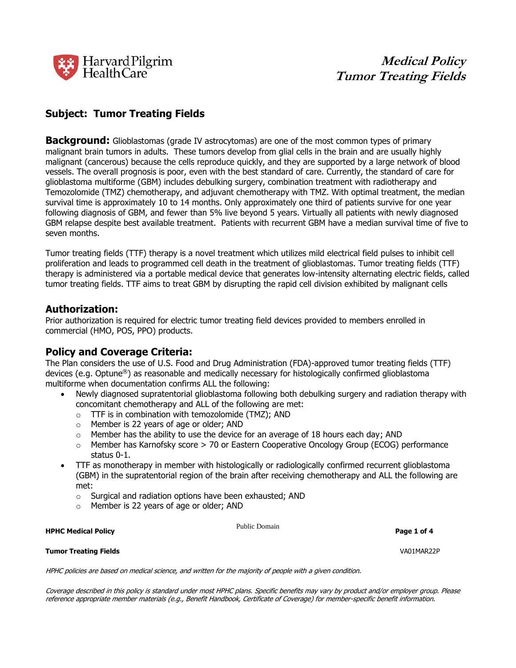

# **Subject: Tumor Treating Fields**

**Background:** Glioblastomas (grade IV astrocytomas) are one of the most common types of primary malignant brain tumors in adults. These tumors develop from glial cells in the brain and are usually highly malignant (cancerous) because the cells reproduce quickly, and they are supported by a large network of blood vessels. The overall prognosis is poor, even with the best standard of care. Currently, the standard of care for glioblastoma multiforme (GBM) includes debulking surgery, combination treatment with radiotherapy and Temozolomide (TMZ) chemotherapy, and adjuvant chemotherapy with TMZ. With optimal treatment, the median survival time is approximately 10 to 14 months. Only approximately one third of patients survive for one year following diagnosis of GBM, and fewer than 5% live beyond 5 years. Virtually all patients with newly diagnosed GBM relapse despite best available treatment. Patients with recurrent GBM have a median survival time of five to seven months.

Tumor treating fields (TTF) therapy is a novel treatment which utilizes mild electrical field pulses to inhibit cell proliferation and leads to programmed cell death in the treatment of glioblastomas. Tumor treating fields (TTF) therapy is administered via a portable medical device that generates low-intensity alternating electric fields, called tumor treating fields. TTF aims to treat GBM by disrupting the rapid cell division exhibited by malignant cells

## **Authorization:**

Prior authorization is required for electric tumor treating field devices provided to members enrolled in commercial (HMO, POS, PPO) products.

# **Policy and Coverage Criteria:**

The Plan considers the use of U.S. Food and Drug Administration (FDA)-approved tumor treating fields (TTF) devices (e.g. Optune®) as reasonable and medically necessary for histologically confirmed glioblastoma multiforme when documentation confirms ALL the following:

- Newly diagnosed supratentorial glioblastoma following both debulking surgery and radiation therapy with concomitant chemotherapy and ALL of the following are met:
	- o TTF is in combination with temozolomide (TMZ); AND
	- o Member is 22 years of age or older; AND
	- $\circ$  Member has the ability to use the device for an average of 18 hours each day; AND
	- $\circ$  Member has Karnofsky score  $>$  70 or Eastern Cooperative Oncology Group (ECOG) performance status 0-1.
- TTF as monotherapy in member with histologically or radiologically confirmed recurrent glioblastoma (GBM) in the supratentorial region of the brain after receiving chemotherapy and ALL the following are met:
	- o Surgical and radiation options have been exhausted; AND
	- o Member is 22 years of age or older; AND

**HPHC Medical Policy Page 1 of 4 of 4 of 4 of 4 of 4 of 4 of 4 of 4 of 4 of 4 of 4 of 4 of 4 of 4 of 4 of 4 of 4 or 4 or 4 or 4 or 4 or 4 or 4 or 4 or 4 or 4 or 4 or** 

Public Domain

**Tumor Treating Fields** VA01MAR22P

HPHC policies are based on medical science, and written for the majority of people with a given condition.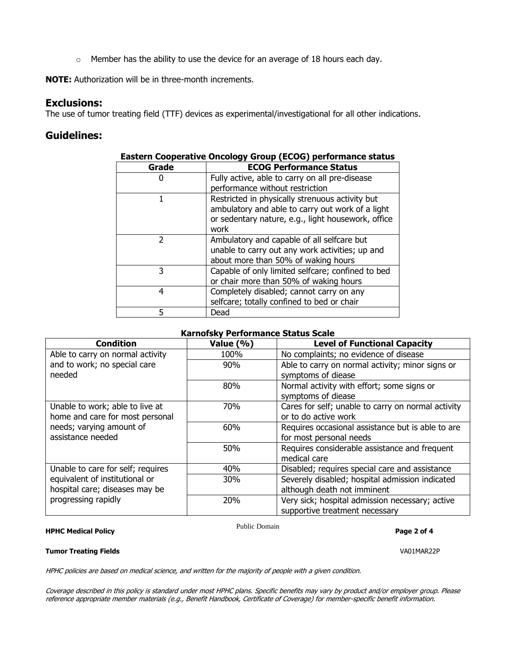o Member has the ability to use the device for an average of 18 hours each day.

**NOTE:** Authorization will be in three-month increments.

# **Exclusions:**

The use of tumor treating field (TTF) devices as experimental/investigational for all other indications.

# **Guidelines:**

| . , per |                                                                                                                                                                   |  |
|---------|-------------------------------------------------------------------------------------------------------------------------------------------------------------------|--|
| Grade   | <b>ECOG Performance Status</b>                                                                                                                                    |  |
|         | Fully active, able to carry on all pre-disease                                                                                                                    |  |
|         | performance without restriction                                                                                                                                   |  |
|         | Restricted in physically strenuous activity but<br>ambulatory and able to carry out work of a light<br>or sedentary nature, e.g., light housework, office<br>work |  |
|         | Ambulatory and capable of all selfcare but<br>unable to carry out any work activities; up and<br>about more than 50% of waking hours                              |  |
| 3       | Capable of only limited selfcare; confined to bed<br>or chair more than 50% of waking hours                                                                       |  |
| 4       | Completely disabled; cannot carry on any<br>selfcare; totally confined to bed or chair                                                                            |  |
|         | Dead                                                                                                                                                              |  |

## **Eastern Cooperative Oncology Group (ECOG) performance status**

## **Karnofsky Performance Status Scale**

| <b>Condition</b>                                                   | Value (%)  | <b>Level of Functional Capacity</b>                                               |
|--------------------------------------------------------------------|------------|-----------------------------------------------------------------------------------|
| Able to carry on normal activity                                   | 100%       | No complaints; no evidence of disease                                             |
| and to work; no special care<br>needed                             | 90%        | Able to carry on normal activity; minor signs or<br>symptoms of diease            |
|                                                                    | 80%        | Normal activity with effort; some signs or<br>symptoms of diease                  |
| Unable to work; able to live at<br>home and care for most personal | 70%        | Cares for self; unable to carry on normal activity<br>or to do active work        |
| needs; varying amount of<br>assistance needed                      | 60%        | Requires occasional assistance but is able to are<br>for most personal needs      |
|                                                                    | 50%        | Requires considerable assistance and frequent<br>medical care                     |
| Unable to care for self; requires                                  | 40%        | Disabled; requires special care and assistance                                    |
| equivalent of institutional or<br>hospital care; diseases may be   | <b>30%</b> | Severely disabled; hospital admission indicated<br>although death not imminent    |
| progressing rapidly                                                | 20%        | Very sick; hospital admission necessary; active<br>supportive treatment necessary |

### **HPHC Medical Policy Page 2 of 4**

Public Domain

## **Tumor Treating Fields** VA01MAR22P

HPHC policies are based on medical science, and written for the majority of people with a given condition.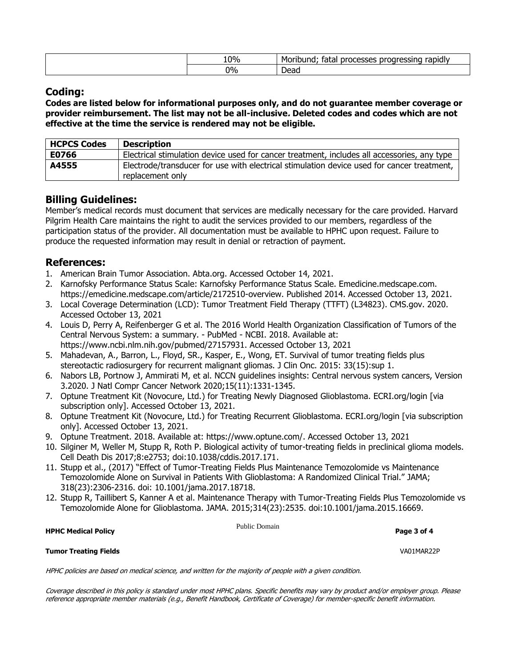| 10% | Morib<br>- - -<br>bund<br>キっキ<br>.<br>рr<br>nr<br>д.<br>abidi<br>lalai<br>5565 |
|-----|--------------------------------------------------------------------------------|
| 0%  | -<br>Dead                                                                      |

# **Coding:**

**Codes are listed below for informational purposes only, and do not guarantee member coverage or provider reimbursement. The list may not be all-inclusive. Deleted codes and codes which are not effective at the time the service is rendered may not be eligible.**

| <b>HCPCS Codes</b> | <b>Description</b>                                                                                             |
|--------------------|----------------------------------------------------------------------------------------------------------------|
| E0766              | Electrical stimulation device used for cancer treatment, includes all accessories, any type                    |
| A4555              | Electrode/transducer for use with electrical stimulation device used for cancer treatment,<br>replacement only |

# **Billing Guidelines:**

Member's medical records must document that services are medically necessary for the care provided. Harvard Pilgrim Health Care maintains the right to audit the services provided to our members, regardless of the participation status of the provider. All documentation must be available to HPHC upon request. Failure to produce the requested information may result in denial or retraction of payment.

# **References:**

- 1. American Brain Tumor Association. Abta.org. Accessed October 14, 2021.
- 2. Karnofsky Performance Status Scale: Karnofsky Performance Status Scale. Emedicine.medscape.com. https://emedicine.medscape.com/article/2172510-overview. Published 2014. Accessed October 13, 2021.
- 3. Local Coverage Determination (LCD): Tumor Treatment Field Therapy (TTFT) (L34823). CMS.gov. 2020. Accessed October 13, 2021
- 4. Louis D, Perry A, Reifenberger G et al. The 2016 World Health Organization Classification of Tumors of the Central Nervous System: a summary. - PubMed - NCBI. 2018. Available at: https://www.ncbi.nlm.nih.gov/pubmed/27157931. Accessed October 13, 2021
- 5. Mahadevan, A., Barron, L., Floyd, SR., Kasper, E., Wong, ET. Survival of tumor treating fields plus stereotactic radiosurgery for recurrent malignant gliomas. J Clin Onc. 2015: 33(15):sup 1.
- 6. Nabors LB, Portnow J, Ammirati M, et al. NCCN guidelines insights: Central nervous system cancers, Version 3.2020. J Natl Compr Cancer Network 2020;15(11):1331-1345.
- 7. Optune Treatment Kit (Novocure, Ltd.) for Treating Newly Diagnosed Glioblastoma. ECRI.org/login [via subscription only]. Accessed October 13, 2021.
- 8. Optune Treatment Kit (Novocure, Ltd.) for Treating Recurrent Glioblastoma. ECRI.org/login [via subscription only]. Accessed October 13, 2021.
- 9. Optune Treatment. 2018. Available at: https://www.optune.com/. Accessed October 13, 2021
- 10. Silginer M, Weller M, Stupp R, Roth P. Biological activity of tumor-treating fields in preclinical glioma models. Cell Death Dis 2017;8:e2753; doi:10.1038/cddis.2017.171.
- 11. Stupp et al., (2017) "Effect of Tumor-Treating Fields Plus Maintenance Temozolomide vs Maintenance Temozolomide Alone on Survival in Patients With Glioblastoma: A Randomized Clinical Trial." JAMA; 318(23):2306-2316. doi: 10.1001/jama.2017.18718.
- 12. Stupp R, Taillibert S, Kanner A et al. Maintenance Therapy with Tumor-Treating Fields Plus Temozolomide vs Temozolomide Alone for Glioblastoma. JAMA. 2015;314(23):2535. doi:10.1001/jama.2015.16669.

**HPHC Medical Policy Page 3 of 4**

Public Domain

**Tumor Treating Fields** VA01MAR22P

HPHC policies are based on medical science, and written for the majority of people with a given condition.